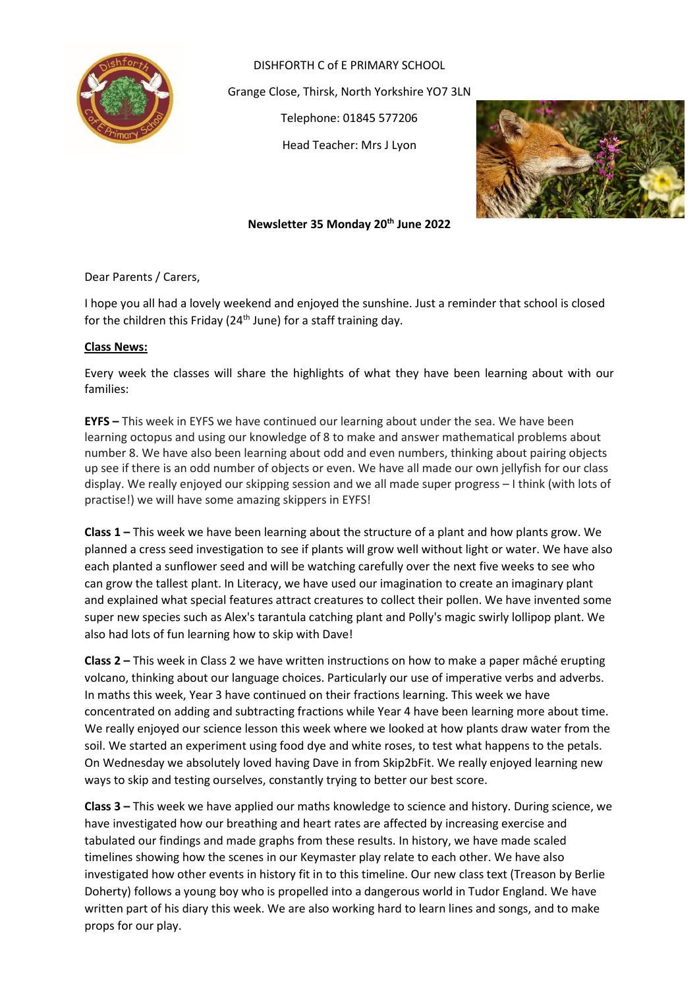

DISHFORTH C of E PRIMARY SCHOOL Grange Close, Thirsk, North Yorkshire YO7 3LN Telephone: 01845 577206 Head Teacher: Mrs J Lyon



# **Newsletter 35 Monday 20th June 2022**

Dear Parents / Carers,

I hope you all had a lovely weekend and enjoyed the sunshine. Just a reminder that school is closed for the children this Friday ( $24<sup>th</sup>$  June) for a staff training day.

# **Class News:**

Every week the classes will share the highlights of what they have been learning about with our families:

**EYFS –** This week in EYFS we have continued our learning about under the sea. We have been learning octopus and using our knowledge of 8 to make and answer mathematical problems about number 8. We have also been learning about odd and even numbers, thinking about pairing objects up see if there is an odd number of objects or even. We have all made our own jellyfish for our class display. We really enjoyed our skipping session and we all made super progress – I think (with lots of practise!) we will have some amazing skippers in EYFS!

**Class 1 –** This week we have been learning about the structure of a plant and how plants grow. We planned a cress seed investigation to see if plants will grow well without light or water. We have also each planted a sunflower seed and will be watching carefully over the next five weeks to see who can grow the tallest plant. In Literacy, we have used our imagination to create an imaginary plant and explained what special features attract creatures to collect their pollen. We have invented some super new species such as Alex's tarantula catching plant and Polly's magic swirly lollipop plant. We also had lots of fun learning how to skip with Dave!

**Class 2 –** This week in Class 2 we have written instructions on how to make a paper mâché erupting volcano, thinking about our language choices. Particularly our use of imperative verbs and adverbs. In maths this week, Year 3 have continued on their fractions learning. This week we have concentrated on adding and subtracting fractions while Year 4 have been learning more about time. We really enjoyed our science lesson this week where we looked at how plants draw water from the soil. We started an experiment using food dye and white roses, to test what happens to the petals. On Wednesday we absolutely loved having Dave in from Skip2bFit. We really enjoyed learning new ways to skip and testing ourselves, constantly trying to better our best score.

**Class 3 –** This week we have applied our maths knowledge to science and history. During science, we have investigated how our breathing and heart rates are affected by increasing exercise and tabulated our findings and made graphs from these results. In history, we have made scaled timelines showing how the scenes in our Keymaster play relate to each other. We have also investigated how other events in history fit in to this timeline. Our new class text (Treason by Berlie Doherty) follows a young boy who is propelled into a dangerous world in Tudor England. We have written part of his diary this week. We are also working hard to learn lines and songs, and to make props for our play.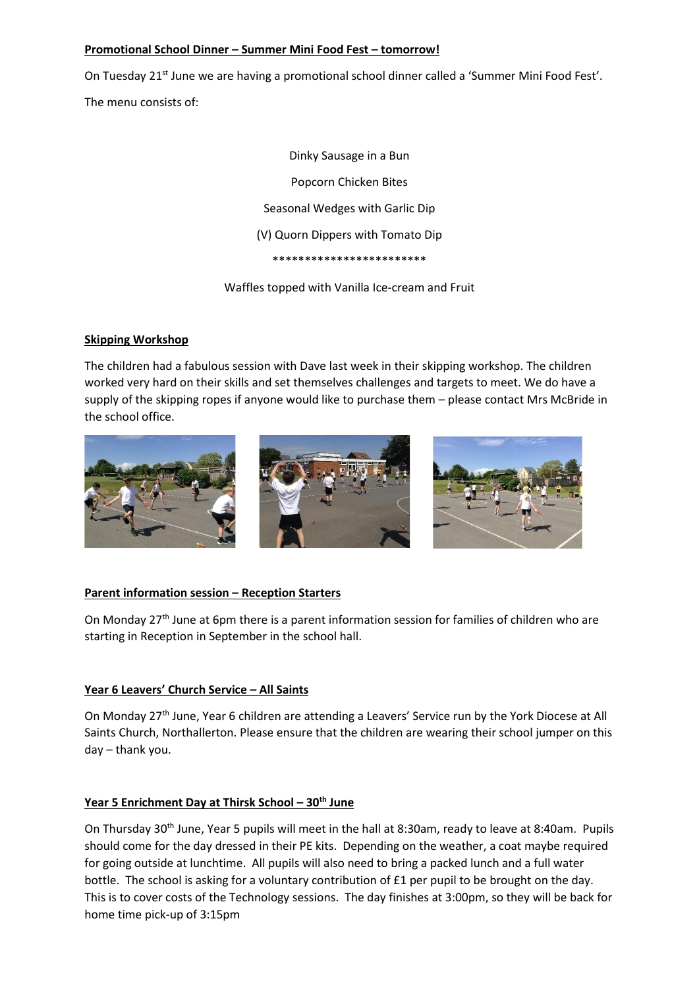## **Promotional School Dinner – Summer Mini Food Fest – tomorrow!**

On Tuesday 21<sup>st</sup> June we are having a promotional school dinner called a 'Summer Mini Food Fest'.

The menu consists of:

Dinky Sausage in a Bun Popcorn Chicken Bites Seasonal Wedges with Garlic Dip (V) Quorn Dippers with Tomato Dip \*\*\*\*\*\*\*\*\*\*\*\*\*\*\*\*\*\*\*\*\*\*\*\*

Waffles topped with Vanilla Ice-cream and Fruit

# **Skipping Workshop**

The children had a fabulous session with Dave last week in their skipping workshop. The children worked very hard on their skills and set themselves challenges and targets to meet. We do have a supply of the skipping ropes if anyone would like to purchase them – please contact Mrs McBride in the school office.



# **Parent information session – Reception Starters**

On Monday  $27<sup>th</sup>$  June at 6pm there is a parent information session for families of children who are starting in Reception in September in the school hall.

# **Year 6 Leavers' Church Service – All Saints**

On Monday 27<sup>th</sup> June, Year 6 children are attending a Leavers' Service run by the York Diocese at All Saints Church, Northallerton. Please ensure that the children are wearing their school jumper on this day – thank you.

# **Year 5 Enrichment Day at Thirsk School – 30th June**

On Thursday 30<sup>th</sup> June, Year 5 pupils will meet in the hall at 8:30am, ready to leave at 8:40am. Pupils should come for the day dressed in their PE kits. Depending on the weather, a coat maybe required for going outside at lunchtime. All pupils will also need to bring a packed lunch and a full water bottle. The school is asking for a voluntary contribution of £1 per pupil to be brought on the day. This is to cover costs of the Technology sessions. The day finishes at 3:00pm, so they will be back for home time pick-up of 3:15pm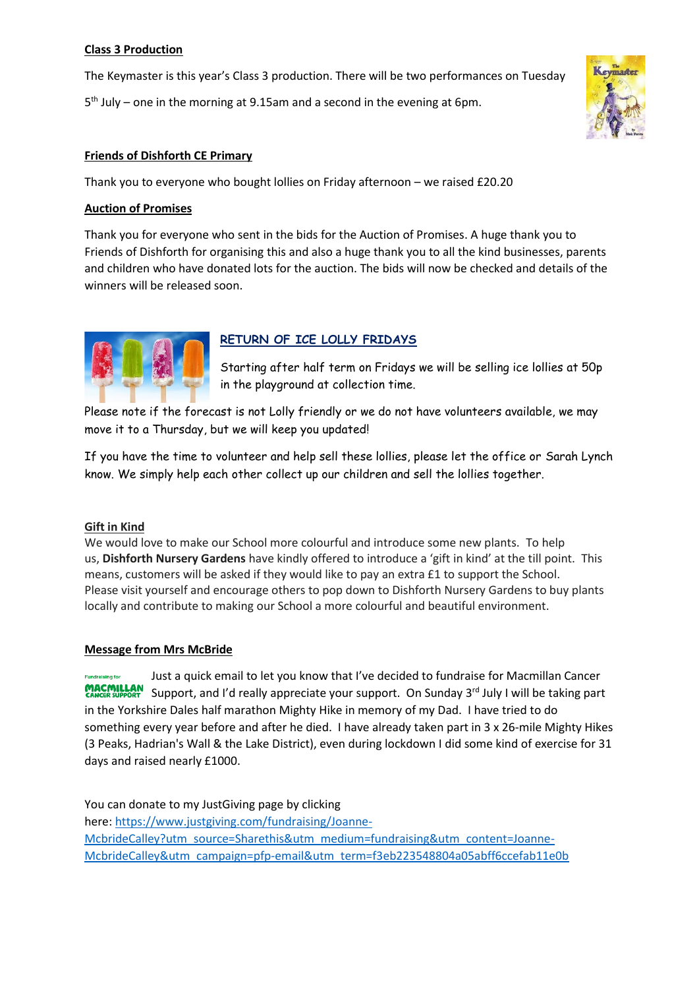# **Class 3 Production**

The Keymaster is this year's Class 3 production. There will be two performances on Tuesday

5 th July – one in the morning at 9.15am and a second in the evening at 6pm.



# **Friends of Dishforth CE Primary**

Thank you to everyone who bought lollies on Friday afternoon – we raised £20.20

## **Auction of Promises**

Thank you for everyone who sent in the bids for the Auction of Promises. A huge thank you to Friends of Dishforth for organising this and also a huge thank you to all the kind businesses, parents and children who have donated lots for the auction. The bids will now be checked and details of the winners will be released soon.



# **RETURN OF ICE LOLLY FRIDAYS**

Starting after half term on Fridays we will be selling ice lollies at 50p in the playground at collection time.

Please note if the forecast is not Lolly friendly or we do not have volunteers available, we may move it to a Thursday, but we will keep you updated!

If you have the time to volunteer and help sell these lollies, please let the office or Sarah Lynch know. We simply help each other collect up our children and sell the lollies together.

### **Gift in Kind**

We would love to make our School more colourful and introduce some new plants. To help us, **Dishforth Nursery Gardens** have kindly offered to introduce a 'gift in kind' at the till point. This means, customers will be asked if they would like to pay an extra £1 to support the School. Please visit yourself and encourage others to pop down to Dishforth Nursery Gardens to buy plants locally and contribute to making our School a more colourful and beautiful environment.

### **Message from Mrs McBride**

Just a quick email to let you know that I've decided to fundraise for Macmillan Cancer **Fundraising for** Support, and I'd really appreciate your support. On Sunday 3<sup>rd</sup> July I will be taking part in the Yorkshire Dales half marathon Mighty Hike in memory of my Dad. I have tried to do something every year before and after he died. I have already taken part in 3 x 26-mile Mighty Hikes (3 Peaks, Hadrian's Wall & the Lake District), even during lockdown I did some kind of exercise for 31 days and raised nearly £1000.

You can donate to my JustGiving page by clicking here: [https://www.justgiving.com/fundraising/Joanne-](https://www.justgiving.com/fundraising/Joanne-McbrideCalley?utm_source=Sharethis&utm_medium=fundraising&utm_content=Joanne-McbrideCalley&utm_campaign=pfp-email&utm_term=f3eb223548804a05abff6ccefab11e0b)[McbrideCalley?utm\\_source=Sharethis&utm\\_medium=fundraising&utm\\_content=Joanne-](https://www.justgiving.com/fundraising/Joanne-McbrideCalley?utm_source=Sharethis&utm_medium=fundraising&utm_content=Joanne-McbrideCalley&utm_campaign=pfp-email&utm_term=f3eb223548804a05abff6ccefab11e0b)[McbrideCalley&utm\\_campaign=pfp-email&utm\\_term=f3eb223548804a05abff6ccefab11e0b](https://www.justgiving.com/fundraising/Joanne-McbrideCalley?utm_source=Sharethis&utm_medium=fundraising&utm_content=Joanne-McbrideCalley&utm_campaign=pfp-email&utm_term=f3eb223548804a05abff6ccefab11e0b)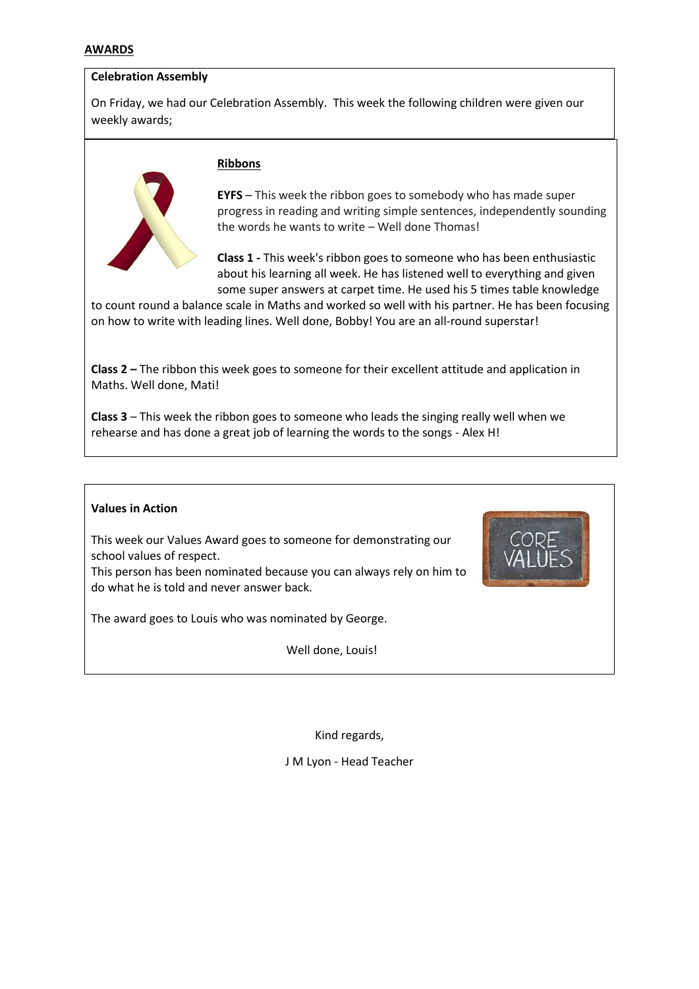### **AWARDS**

## **Celebration Assembly**

On Friday, we had our Celebration Assembly. This week the following children were given our weekly awards;



#### **Ribbons**

**EYFS** – This week the ribbon goes to somebody who has made super progress in reading and writing simple sentences, independently sounding the words he wants to write – Well done Thomas!

**Class 1 -** This week's ribbon goes to someone who has been enthusiastic about his learning all week. He has listened well to everything and given some super answers at carpet time. He used his 5 times table knowledge

to count round a balance scale in Maths and worked so well with his partner. He has been focusing on how to write with leading lines. Well done, Bobby! You are an all-round superstar!

**Class 2 –** The ribbon this week goes to someone for their excellent attitude and application in Maths. Well done, Mati!

**Class 3** – This week the ribbon goes to someone who leads the singing really well when we rehearse and has done a great job of learning the words to the songs - Alex H!

### **Values in Action**

This week our Values Award goes to someone for demonstrating our school values of respect.

This person has been nominated because you can always rely on him to do what he is told and never answer back.

The award goes to Louis who was nominated by George.

Well done, Louis!

Kind regards,

J M Lyon - Head Teacher